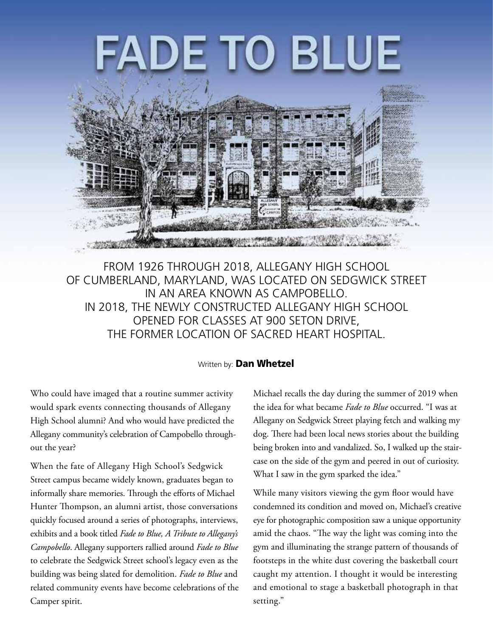# <u>DE TO BLUE</u>



From 1926 through 2018, Allegany High School of Cumberland, Maryland, was located on Sedgwick Street in an area known as Campobello. In 2018, the newly constructed Allegany High School opened for classes at 900 Seton Drive, the former location of Sacred Heart Hospital.

#### Written by: **Dan Whetzel**

Who could have imaged that a routine summer activity would spark events connecting thousands of Allegany High School alumni? And who would have predicted the Allegany community's celebration of Campobello throughout the year?

When the fate of Allegany High School's Sedgwick Street campus became widely known, graduates began to informally share memories. Through the efforts of Michael Hunter Thompson, an alumni artist, those conversations quickly focused around a series of photographs, interviews, exhibits and a book titled *Fade to Blue, A Tribute to Allegany's Campobello*. Allegany supporters rallied around *Fade to Blue* to celebrate the Sedgwick Street school's legacy even as the building was being slated for demolition. *Fade to Blue* and related community events have become celebrations of the Camper spirit.

Michael recalls the day during the summer of 2019 when the idea for what became *Fade to Blue* occurred. "I was at Allegany on Sedgwick Street playing fetch and walking my dog. There had been local news stories about the building being broken into and vandalized. So, I walked up the staircase on the side of the gym and peered in out of curiosity. What I saw in the gym sparked the idea."

While many visitors viewing the gym floor would have condemned its condition and moved on, Michael's creative eye for photographic composition saw a unique opportunity amid the chaos. "The way the light was coming into the gym and illuminating the strange pattern of thousands of footsteps in the white dust covering the basketball court caught my attention. I thought it would be interesting and emotional to stage a basketball photograph in that setting."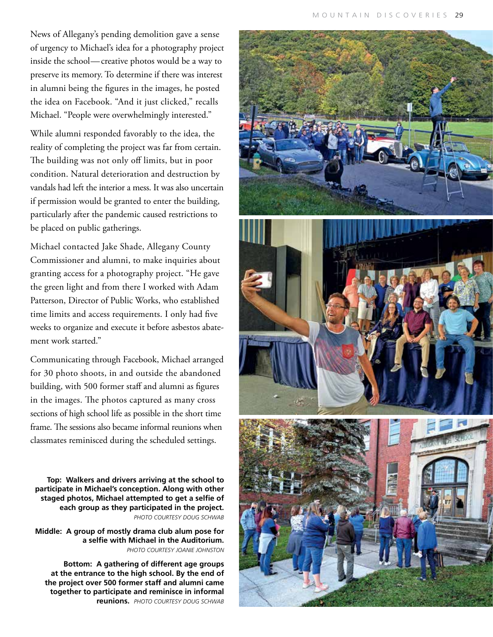News of Allegany's pending demolition gave a sense of urgency to Michael's idea for a photography project inside the school—creative photos would be a way to preserve its memory. To determine if there was interest in alumni being the figures in the images, he posted the idea on Facebook. "And it just clicked," recalls Michael. "People were overwhelmingly interested."

While alumni responded favorably to the idea, the reality of completing the project was far from certain. The building was not only off limits, but in poor condition. Natural deterioration and destruction by vandals had left the interior a mess. It was also uncertain if permission would be granted to enter the building, particularly after the pandemic caused restrictions to be placed on public gatherings.

Michael contacted Jake Shade, Allegany County Commissioner and alumni, to make inquiries about granting access for a photography project. "He gave the green light and from there I worked with Adam Patterson, Director of Public Works, who established time limits and access requirements. I only had five weeks to organize and execute it before asbestos abatement work started."

Communicating through Facebook, Michael arranged for 30 photo shoots, in and outside the abandoned building, with 500 former staff and alumni as figures in the images. The photos captured as many cross sections of high school life as possible in the short time frame. The sessions also became informal reunions when classmates reminisced during the scheduled settings.

**Top: Walkers and drivers arriving at the school to participate in Michael's conception. Along with other staged photos, Michael attempted to get a selfie of each group as they participated in the project.**  *Photo courtesy Doug Schwab*

**Middle: A group of mostly drama club alum pose for a selfie with Michael in the Auditorium.**  *Photo courtesy Joanie Johnston*

**Bottom: A gathering of different age groups at the entrance to the high school. By the end of the project over 500 former staff and alumni came together to participate and reminisce in informal reunions.** *Photo courtesy Doug Schwab* 

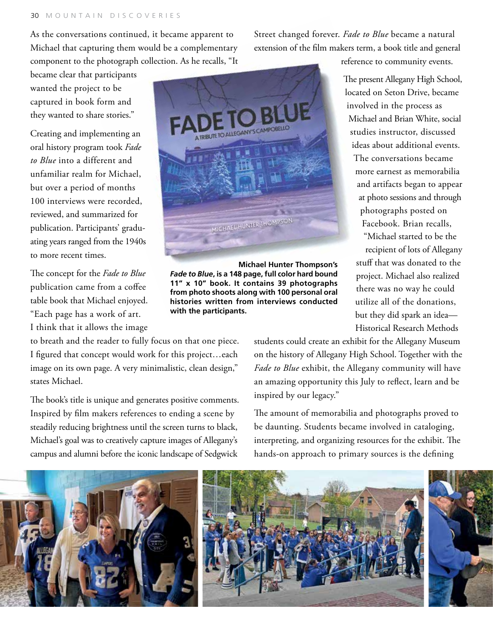As the conversations continued, it became apparent to Michael that capturing them would be a complementary component to the photograph collection. As he recalls, "It

became clear that participants wanted the project to be captured in book form and they wanted to share stories."

Creating and implementing an oral history program took *Fade to Blue* into a different and unfamiliar realm for Michael, but over a period of months 100 interviews were recorded, reviewed, and summarized for publication. Participants' graduating years ranged from the 1940s to more recent times.

The concept for the *Fade to Blue* publication came from a coffee table book that Michael enjoyed. "Each page has a work of art. I think that it allows the image

to breath and the reader to fully focus on that one piece. I figured that concept would work for this project…each image on its own page. A very minimalistic, clean design," states Michael.

The book's title is unique and generates positive comments. Inspired by film makers references to ending a scene by steadily reducing brightness until the screen turns to black, Michael's goal was to creatively capture images of Allegany's campus and alumni before the iconic landscape of Sedgwick



**Michael Hunter Thompson's** *Fade to Blue***, is a 148 page, full color hard bound 11" x 10" book. It contains 39 photographs from photo shoots along with 100 personal oral histories written from interviews conducted with the participants.**

Street changed forever. *Fade to Blue* became a natural extension of the film makers term, a book title and general

reference to community events.

The present Allegany High School, located on Seton Drive, became involved in the process as Michael and Brian White, social studies instructor, discussed ideas about additional events. The conversations became more earnest as memorabilia and artifacts began to appear at photo sessions and through photographs posted on Facebook. Brian recalls, "Michael started to be the recipient of lots of Allegany stuff that was donated to the project. Michael also realized

there was no way he could utilize all of the donations, but they did spark an idea— Historical Research Methods

students could create an exhibit for the Allegany Museum on the history of Allegany High School. Together with the *Fade to Blue* exhibit, the Allegany community will have an amazing opportunity this July to reflect, learn and be inspired by our legacy."

The amount of memorabilia and photographs proved to be daunting. Students became involved in cataloging, interpreting, and organizing resources for the exhibit. The hands-on approach to primary sources is the defining

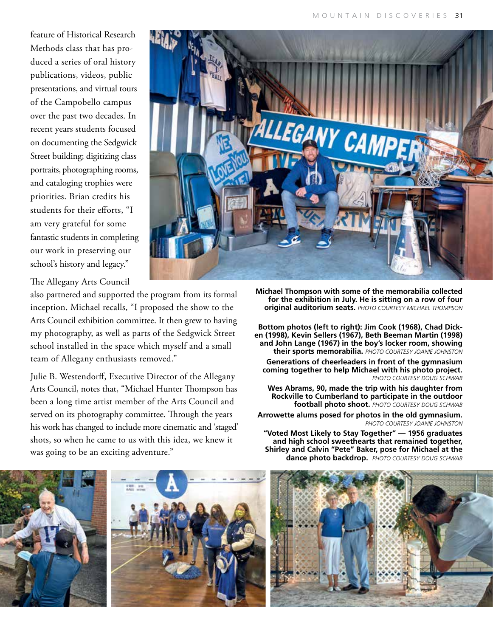feature of Historical Research Methods class that has produced a series of oral history publications, videos, public presentations, and virtual tours of the Campobello campus over the past two decades. In recent years students focused on documenting the Sedgwick Street building; digitizing class portraits, photographing rooms, and cataloging trophies were priorities. Brian credits his students for their efforts, "I am very grateful for some fantastic students in completing our work in preserving our school's history and legacy."



The Allegany Arts Council

also partnered and supported the program from its formal inception. Michael recalls, "I proposed the show to the Arts Council exhibition committee. It then grew to having my photography, as well as parts of the Sedgwick Street school installed in the space which myself and a small team of Allegany enthusiasts removed."

Julie B. Westendorff, Executive Director of the Allegany Arts Council, notes that, "Michael Hunter Thompson has been a long time artist member of the Arts Council and served on its photography committee. Through the years his work has changed to include more cinematic and 'staged' shots, so when he came to us with this idea, we knew it was going to be an exciting adventure."

**Michael Thompson with some of the memorabilia collected for the exhibition in July. He is sitting on a row of four original auditorium seats.** *Photo courtesy michael thompson*

**Bottom photos (left to right): Jim Cook (1968), Chad Dicken (1998), Kevin Sellers (1967), Beth Beeman Martin (1998) and John Lange (1967) in the boy's locker room, showing their sports memorabilia.** *Photo courtesy Joanie Johnston*

**Generations of cheerleaders in front of the gymnasium coming together to help Michael with his photo project.**  *Photo courtesy Doug Schwab*

**Wes Abrams, 90, made the trip with his daughter from Rockville to Cumberland to participate in the outdoor football photo shoot.** *Photo courtesy Doug Schwab*

**Arrowette alums posed for photos in the old gymnasium.**  *Photo courtesy Joanie Johnston* 

**"Voted Most Likely to Stay Together" — 1956 graduates and high school sweethearts that remained together, Shirley and Calvin "Pete" Baker, pose for Michael at the dance photo backdrop.** *Photo courtesy Doug Schwab*





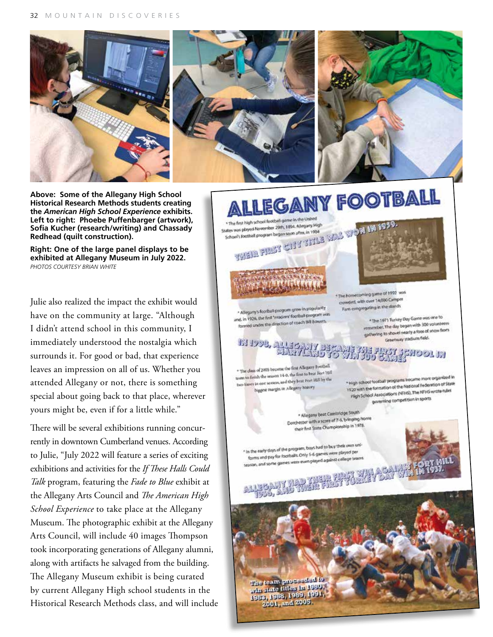

**Above: Some of the Allegany High School Historical Research Methods students creating the** *American High School Experience* **exhibits. Left to right: Phoebe Puffenbarger (artwork), Sofia Kucher (research/writing) and Chassady Redhead (quilt construction).**

**Right: One of the large panel displays to be exhibited at Allegany Museum in July 2022.** *PhotoS courtesy BRIAN WHITE*

Julie also realized the impact the exhibit would have on the community at large. "Although I didn't attend school in this community, I immediately understood the nostalgia which surrounds it. For good or bad, that experience leaves an impression on all of us. Whether you attended Allegany or not, there is something special about going back to that place, wherever yours might be, even if for a little while."

There will be several exhibitions running concurrently in downtown Cumberland venues. According to Julie, "July 2022 will feature a series of exciting exhibitions and activities for the *If These Halls Could Talk* program, featuring the *Fade to Blue* exhibit at the Allegany Arts Council and *The American High School Experience* to take place at the Allegany Museum. The photographic exhibit at the Allegany Arts Council, will include 40 images Thompson took incorporating generations of Allegany alumni, along with artifacts he salvaged from the building. The Allegany Museum exhibit is being curated by current Allegany High school students in the Historical Research Methods class, and will include



1983, 1988, 1989, 1991 2001, and 2005.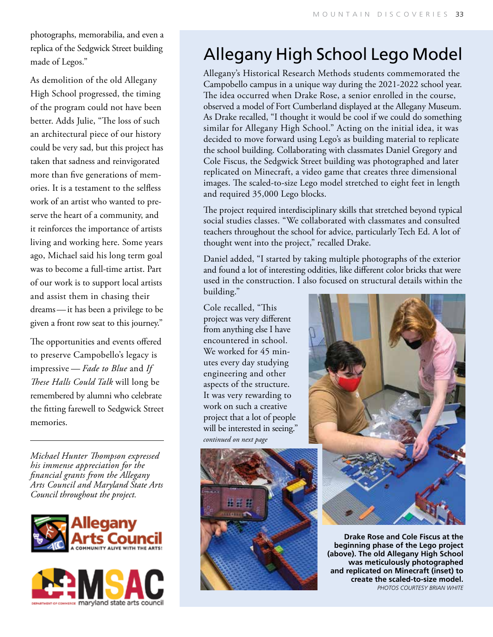photographs, memorabilia, and even a replica of the Sedgwick Street building made of Legos."

As demolition of the old Allegany High School progressed, the timing of the program could not have been better. Adds Julie, "The loss of such an architectural piece of our history could be very sad, but this project has taken that sadness and reinvigorated more than five generations of memories. It is a testament to the selfless work of an artist who wanted to preserve the heart of a community, and it reinforces the importance of artists living and working here. Some years ago, Michael said his long term goal was to become a full-time artist. Part of our work is to support local artists and assist them in chasing their dreams — it has been a privilege to be given a front row seat to this journey."

The opportunities and events offered to preserve Campobello's legacy is impressive — *Fade to Blue* and *If These Halls Could Talk* will long be remembered by alumni who celebrate the fitting farewell to Sedgwick Street memories.

*Michael Hunter Thompson expressed his immense appreciation for the financial grants from the Allegany Arts Council and Maryland State Arts Council throughout the project.*





## Allegany High School Lego Model

Allegany's Historical Research Methods students commemorated the Campobello campus in a unique way during the 2021-2022 school year. The idea occurred when Drake Rose, a senior enrolled in the course, observed a model of Fort Cumberland displayed at the Allegany Museum. As Drake recalled, "I thought it would be cool if we could do something similar for Allegany High School." Acting on the initial idea, it was decided to move forward using Lego's as building material to replicate the school building. Collaborating with classmates Daniel Gregory and Cole Fiscus, the Sedgwick Street building was photographed and later replicated on Minecraft, a video game that creates three dimensional images. The scaled-to-size Lego model stretched to eight feet in length and required 35,000 Lego blocks.

The project required interdisciplinary skills that stretched beyond typical social studies classes. "We collaborated with classmates and consulted teachers throughout the school for advice, particularly Tech Ed. A lot of thought went into the project," recalled Drake.

Daniel added, "I started by taking multiple photographs of the exterior and found a lot of interesting oddities, like different color bricks that were used in the construction. I also focused on structural details within the building."

Cole recalled, "This project was very different from anything else I have encountered in school. We worked for 45 minutes every day studying engineering and other aspects of the structure. It was very rewarding to work on such a creative project that a lot of people will be interested in seeing." *continued on next page*





**Drake Rose and Cole Fiscus at the beginning phase of the Lego project (above). The old Allegany High School was meticulously photographed and replicated on Minecraft (inset) to create the scaled-to-size model.**  *PhotoS courtesy BRIAN WHITE*